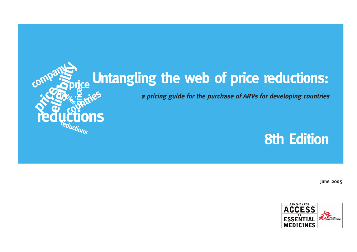

# **Untangling the web of price reductions:**

**a pricing guide for the purchase of ARVs for developing countries**

## **8th Edition**

**June 2005**

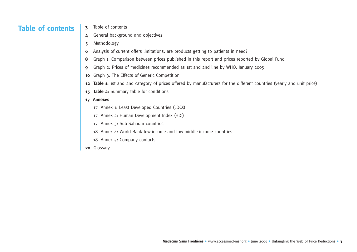### **Table of contents**

- **3** Table of contents
- **4** General background and objectives
- **5** Methodology
- **6** Analysis of current offers limitations: are products getting to patients in need?
- **8** Graph 1: Comparison between prices published in this report and prices reported by Global Fund
- **9** Graph 2: Prices of medicines recommended as 1st and 2nd line by WHO, January 2005
- **<sup>10</sup>** Graph 3: The Effects of Generic Competition
- **12 Table 1:** 1st and 2nd category of prices offered by manufacturers for the different countries (yearly and unit price)
- 15 Table 2: Summary table for conditions

#### **17 Annexes**

- 17 Annex 1: Least Developed Countries (LDCs)
- 17 Annex 2: Human Development Index (HDI)
- 17 Annex 3: Sub-Saharan countries
- 18 Annex 4: World Bank low-income and low-middle-income countries
- 18 Annex 5: Company contacts
- **<sup>20</sup>** Glossary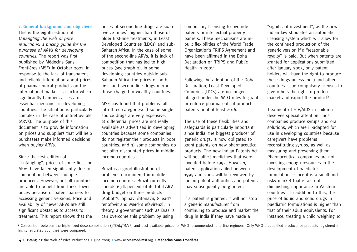#### **1. General background and objectives**

This is the eighth edition of Untangling the web of price reductions: a pricing guide for the purchase of ARVs for developing countries. The report was first published by Médecins Sans Frontières (MSF) in October 2001 $[1]$  in response to the lack of transparent and reliable information about prices of pharmaceutical products on the international market – a factor which significantly hampers access to essential medicines in developing countries. The situation is particularly complex in the case of antiretrovirals (ARVs). The purpose of this document is to provide information on prices and suppliers that will help purchasers make informed decisions when buying ARVs.

Since the first edition of "Untangling", prices of some first-line ARVs have fallen significantly due to competition between multiple producers. However, not all countries are able to benefit from these lower prices because of patent barriers to accessing generic versions. Price and availability of newer ARVs are still significant obstacles to access to treatment. This report shows that the prices of second-line drugs are six to twelve times<sup>1</sup> higher than those of older first-line treatments, in Least Developed Countries (LDCs) and sub-Saharan Africa. In the case of some of the second-line ARVs, it is lack of competition that has led to high prices (see graph 2). In some developing countries outside sub-Saharan Africa, the prices of both first- and second-line drugs mirror those charged in wealthy countries.

MSF has found that problems fall into three categories: 1) some singlesource drugs are very expensive, 2) differential prices are not really available as advertised in developing countries because some companies do not register their products in poor countries, and 3) some companies do not offer discounted prices in middleincome countries.

Brazil is a good illustration of problems encountered in middleincome countries. Brazil currently spends 63% percent of its total ARV drug budget on three products (Abbott's lopinavir/ritonavir, Gilead's tenofovir and Merck's efavirenz). In theory, a government such as Brazil's can overcome this problem by using

compulsory licensing to override patents or intellectual property barriers. These mechanisms are inbuilt flexibilities of the World Trade Organization's TRIPS Agreement and have been affirmed in the Doha Declaration on TRIPS and Public Health in  $2001^{[2]}$ .

Following the adoption of the Doha Declaration, Least Developed Countries (LDCs) are no longer obliged under the WTO rules to grant or enforce pharmaceutical product patents until at least 2016.

The use of these flexibilities and safeguards is particularly important since India, the biggest producer of generic drugs, is now obligated to grant patents on new pharmaceutical products. The new Indian Patents Act will not affect medicines that were invented before 1995. However, patent applications filed between 1995 and 2005 will be reviewed by Indian patent authorities and patents may subsequently be granted.

If a patent is granted, it will not stop a generic manufacturer from continuing to produce and market the drug in India if they have made a

"significant investment", as the new Indian law stipulates an automatic licensing system which will allow for the continued production of the generic version if a "reasonable royalty" is paid. But when patents are granted for applications submitted after January 2005, only patent holders will have the right to produce these drugs unless India and other countries issue compulsory licenses to give others the right to produce, market and export the product<sup>[3,4]</sup>.

Treatment of HIV/AIDS in children deserves special attention: most companies produce syrups and oral solutions, which are ill-adapted for use in developing countries because caregivers have problems reconstituting syrups, as well as measuring and preserving them. Pharmaceutical companies are not investing enough resources in the development of paediatric formulations, since it is a small and risky market that is also of diminishing importance in Western countries<sup>[5]</sup>. In addition to this, the price of liquid and solid drugs in paediatric formulations is higher than that of their adult equivalents. For instance, treating a child weighing 10

<sup>1</sup> Comparison between the triple fixed-dose combination (3TC/d4T/NVP) and best available prices for WHO recommended 2nd line regimens. Only WHO prequalified products or products registered in highly regulated countries were compared.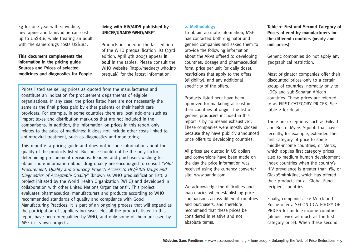kg for one year with stavudine, nevirapine and lamivudine can cost up to US\$816, while treating an adult with the same drugs costs US\$182.

#### **This document complements the information in the pricing guide Sources and Prices of selected medicines and diagnostics for People**

#### **living with HIV/AIDS published by** UNICEF/UNAIDS/WHO/MSF<sup>[6]</sup>.

Products included in the last edition of the WHO prequalification list (23rd edition, April 4th 2005) appear **in bold** in the tables. Please consult the WHO website (http://mednet3.who.int/ prequal/) for the latest information.

Prices listed are selling prices as quoted from the manufacturers and constitute an indication for procurement departments of eligible organisations. In any case, the prices listed here are not necessarily the same as the final prices paid by either patients or their health care providers. For example, in some countries there are local add-ons such as import taxes and distribution mark-ups that are not included in the comparisons. In addition, the information on prices in this report only relates to the price of medicines: it does not include other costs linked to antiretroviral treatment, such as diagnostics and monitoring.

This report is a pricing guide and does not include information about the quality of the products listed. But price should not be the only factor determining procurement decisions. Readers and purchasers wishing to obtain more information about drug quality are encouraged to consult "Pilot Procurement, Quality and Sourcing Project: Access to HIV/AIDS Drugs and Diagnostics of Acceptable Quality" (known as WHO prequalification list), a project initiated by the World Health Organization (WHO) and developed in collaboration with other United Nations Organizations<sup>[7]</sup>. This project evaluates pharmaceutical manufacturers and products according to WHO recommended standards of quality and compliance with Good Manufacturing Practices. It is part of an ongoing process that will expand as the participation of suppliers increases. Not all the products listed in this report have been prequalified by WHO, and only some of them are used by MSF in its own projects.

#### **2. Methodology**

To obtain accurate information, MSF has contacted both originator and generic companies and asked them to provide the following information about the ARVs offered to developing countries: dosage and pharmaceutical form, price per unit (or daily dose), restrictions that apply to the offers (eligibility), and any additional specificity of the offers.

Products listed here have been approved for marketing at least in their countries of origin. The list of generic producers included in this report is by no means exhaustive $[8]$ . These companies were mostly chosen because they have publicly announced price offers to developing countries.

All prices are quoted in US dollars and conversions have been made on the day the price information was received using the currency converter site: www.oanda.com.

We acknowledge the difficulties and inaccuracies when establishing price comparisons across different countries and purchasers, and therefore recommend that these prices be considered in relative and not absolute terms.

**Table 1: First and Second Category of Prices offered by manufacturers for the different countries (yearly and unit prices)**

Generic companies do not apply any geographical restriction.

Most originator companies offer their discounted prices only to a certain group of countries, normally only to LDCs and sub-Saharan African countries. These prices are referred to as FIRST CATEGORY PRICES. See table 2 for details.

There are exceptions such as Gilead and Bristol-Myers Squibb that have recently, for example, extended their first category of price to some middle-income countries, or Merck, which applies first category prices also to medium human development index countries when the country's HIV prevalence is greater than 1%, or GlaxoSmithKline, which has offered their products for all Global Fund recipient countries.

Finally, companies like Merck and Roche offer a SECOND CATEGORY OF PRICES for middle-income countries (almost twice as much as the first category price). When these second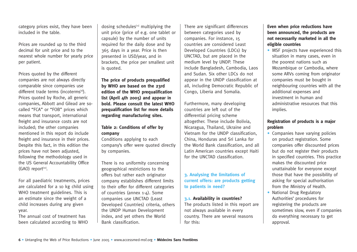category prices exist, they have been included in the table.

Prices are rounded up to the third decimal for unit price and to the nearest whole number for yearly price per patient.

Prices quoted by the different companies are not always directly comparable since companies use different trade terms (incoterms<sup>[9]</sup>). Prices quoted by Roche, all generic companies, Abbott and Gilead are socalled "FCA" or "FOB" prices which means that transport, international freight and insurance costs are not included; the other companies mentioned in this report do include freight and insurance in their prices. Despite this fact, in this edition the prices have not been adjusted, following the methodology used in the US General Accountability Office  $(GAO)$  report $[10]$ .

For all paediatric treatments, prices are calculated for a 10 kg child using WHO treatment guidelines. This is an estimate since the weight of a child increases during any given year.

The annual cost of treatment has been calculated according to WHO dosing schedules $[11]$  multiplying the unit price (price of e.g. one tablet or capsule) by the number of units required for the daily dose and by 365 days in a year. Price is then presented in USD/year, and in brackets, the price per smallest unit is quoted.

**The price of products prequalified by WHO are based on the 23rd edition of the WHO prequalification list (April 4th 2005) and appear in bold. Please consult the latest WHO prequalification list for more details regarding manufacturing sites.** 

#### **Table 2: Conditions of offer by company**

Conditions applying to each company's offer were quoted directly by companies.

There is no uniformity concerning geographical restrictions to the offers but rather each originator company establishes different limits to their offer for different categories of countries (annex 1-4). Some companies use UNCTAD (Least Developed Countries) criteria, others the UNDP Human Development index, and yet others the World Bank classification.

There are significant differences between categories used by companies. For instance, 15 countries are considered Least Developed Countries (LDCs) by UNCTAD, but are placed in the medium level by UNDP. These include Bangladesh, Cambodia, Laos and Sudan. Six other LDCs do not appear in the UNDP classification at all, including Democratic Republic of Congo, Liberia and Somalia.

Furthermore, many developing countries are left out of the differential pricing scheme altogether. These include Bolivia, Nicaragua, Thailand, Ukraine and Vietnam for the UNDP classification, China, Honduras and Sri Lanka for the World Bank classification, and all Latin American countries except Haiti for the UNCTAD classification.

#### **3. Analysing the limitations of current offers: are products getting to patients in need?**

**3.1. Availability in countries?** The products listed in this report are not always available in every country. There are several reasons for this:

#### **Even when price reductions have been announced, the products are not necessarily marketed in all the eligible countries**

• MSF projects have experienced this situation in many cases, even in the poorest nations such as Mozambique or Cambodia, where some ARVs coming from originator companies must be bought in neighbouring countries with all the additional expenses and investment in human and administrative resources that this implies.

#### **Registration of products is a major problem**

- Companies have varying policies on product registration. Some companies offer discounted prices but do not register their products in specified countries. This practice makes the discounted price unattainable for everyone except those that have the possibility of asking for special authorisation from the Ministry of Health.
- National Drug Regulatory Authorities' procedures for registering the products are sometimes slow, even if companies do everything necessary to get approval.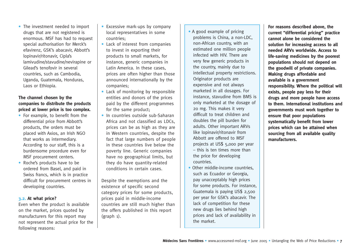• The investment needed to import drugs that are not registered is enormous. MSF has had to request special authorisation for Merck's efavirenz, GSK's abacavir, Abbott's lopinavir/ritonavir, Cipla's lamivudine/stavudine/nevirapine or Gilead's tenofovir in several countries, such as Cambodia, Uganda, Guatemala, Honduras, Laos or Ethiopia.

#### **The channel chosen by the companies to distribute the products priced at lower price is too complex.**

- For example, to benefit from the differential price from Abbott's products, the orders must be placed with Axios, an Irish NGO that works as intermediary. According to our staff, this is a burdensome procedure even for MSF procurement centers.
- Roche's products have to be ordered from Basel, and paid in Swiss francs, which is in practice difficult for procurement centres in developing countries.

#### **3.2. At what price?**

Even when the product is available on the market, prices quoted by manufacturers for this report may not represent the actual price for the following reasons:

- Excessive mark-ups by company local representatives in some countries;
- Lack of interest from companies to invest in exporting their products to small markets, for instance, generic companies in Latin America. In these cases, prices are often higher than those announced internationally by the companies;
- Lack of monitoring by responsible entities and donors of the prices paid by the different programmes for the same product;
- In countries outside sub-Saharan Africa and not classified as LDCs, prices can be as high as they are in Western countries, despite the fact that large numbers of people in these countries live below the poverty line. Generic companies have no geographical limits, but they do have quantity-related conditions in certain cases.

Despite the exemptions and the existence of specific second category prices for some products, prices paid in middle-income countries are still much higher than the offers published in this report (graph 1).

- A good example of pricing problems is China, a non-LDC, non-African country, with an estimated one million people infected with HIV. There are very few generic products in the country, mainly due to intellectual property restrictions. Originator products are expensive and not always marketed in all dosages. For instance, stavudine from BMS is only marketed at the dosage of 20 mg. This makes it very difficult to treat children and doubles the pill burden for adults. Other important ARVs like lopinavir/ritonavir from Abbott are offered to MSF projects at US\$ 5,000 per year – this is ten times more than the price for developing countries.
- Other middle-income countries, such as Ecuador or Georgia, pay unacceptably high prices for some products. For instance, Guatemala is paying US\$ 2,500 per year for GSK's abacavir. The lack of competition for these new drugs lies behind high prices and lack of availability in the market.

**For reasons described above, the current "differential pricing" practice cannot alone be considered the solution for increasing access to all needed ARVs worldwide. Access to life-saving medicines by the poorest populations should not depend on the goodwill of private companies. Making drugs affordable and available is a government responsibility. Where the political will exists, people pay less for their drugs and more people have access to them. International institutions and governments must work together to ensure that poor populations systematically benefit from lower prices which can be attained when sourcing from all available quality manufacturers.**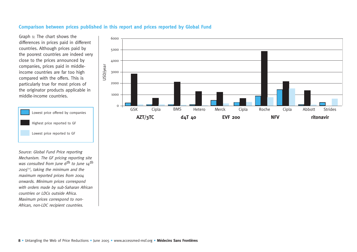#### **Comparison between prices published in this report and prices reported by Global Fund**

Graph 1: The chart shows the differences in prices paid in different countries. Although prices paid by the poorest countries are indeed very close to the prices announced by companies, prices paid in middleincome countries are far too high compared with the offers. This is particularly true for most prices of the originator products applicable in middle-income countries.



Source: Global Fund Price reporting Mechanism. The GF pricing reporting site was consulted from June  $6^{th}$  to June  $14^{th}$  $2005^{[12]}$ , taking the minimum and the maximum reported prices from 2004 onwards. Minimum prices correspond with orders made by sub-Saharan African countries or LDCs outside Africa. Maximum prices correspond to non-African, non-LDC recipient countries.

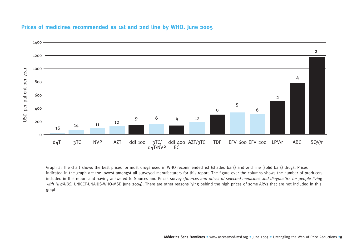

#### **Prices of medicines recommended as 1st and 2nd line by WHO. June 2005**

Graph 2: The chart shows the best prices for most drugs used in WHO recommended 1st (shaded bars) and 2nd line (solid bars) drugs. Prices indicated in the graph are the lowest amongst all surveyed manufacturers for this report. The figure over the columns shows the number of producers included in this report and having answered to Sources and Prices survey (Sources and prices of selected medicines and diagnostics for people living with HIV/AIDS, UNICEF-UNAIDS-WHO-MSF, June 2004). There are other reasons lying behind the high prices of some ARVs that are not included in this graph.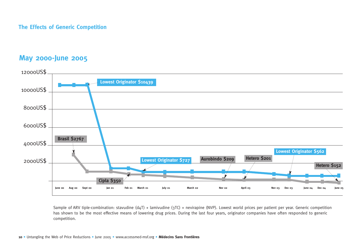#### **The Effects of Generic Competition**

## **May 2000-June 2005**



Sample of ARV tiple-combination: stavudine (d4T) + lamivudine (3TC) + nevirapine (NVP). Lowest world prices per patient per year. Generic competition has shown to be the most effective means of lowering drug prices. During the last four years, originator companies have often responded to generic competition.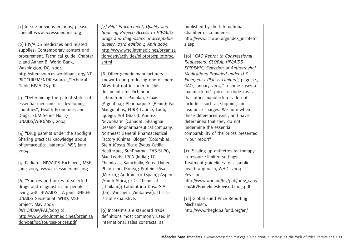[1] To see previous editions, please consult www.accessmed-msf.org

[2] HIV/AIDS medicines and related supplies: Contemporary context and procurement. Technical guide. Chapter 2 and Annex B. World Bank, Washington, DC, 2004 http://siteresources.worldbank.org/INT PROCUREMENT/Resources/Technical-Guide-HIV-AIDS.pdf

[3] "Determining the patent status of essential medicines in developing countries", Health Economies and Drugs, EDM Series No. 17, UNAIDS/WHO/MSF, 2004

[4] "Drug patents under the spotlight. Sharing practical knowledge about pharmaceutical patents" MSF, June 2004

[5] Pediatric HIV/AIDS Factsheet, MSF, June 2005, www.accessmed-msf.org

[6] "Sources and prices of selected drugs and diagnostics for people living with HIV/AIDS". A joint UNICEF, UNAIDS Secretariat, WHO, MSF project. May 2004 (WHO/EDM/PAR/2003.2). http://www.who.int/medicines/organiza tion/par/ipc/sources-prices.pdf

[7] Pilot Procurement, Quality and Sourcing Project: Access to HIV/AIDS drugs and diagnostics of acceptable quality, 23rd edition 4 April 2005. http://www.who.int/medicines/organiza tion/qsm/activities/pilotproc/pilotproc. shtml

[8] Other generic manufacturers known to be producing one or more ARVs but not included in this document are: Richmond Laboratorios, Panalab, Filaxis (Argentina); Pharmaquick (Benin); Far Manguinhos, FURP, Lapefe, Laob, Iquego, IVB (Brazil); Apotex, Novopharm (Canada); Shanghai Desano Biopharmaceutical company, Northeast General Pharmaceutical Factory (China); Biogen (Colombia); Stein (Costa Rica); Zydus Cadila Healthcare, SunPharma, EAS-SURG, Mac Leods, IPCA (India); LG Chemicals, Samchully, Korea United Pharm Inc. (Korea); Protein, Pisa (Mexico); Andromaco (Spain); Aspen (South Africa); T.O. Chemecal (Thailand); Laboratorio Dosa S.A. (US), Varichem (Zimbabwe). This list is not exhaustive.

[9] Incoterms are standard trade definitions most commonly used in international sales contracts, as

published by the International Chamber of Commerce, http://www.iccwbo.org/index\_incoterm s.asp

[10] "GAO Reprot to Congressional Requesters. GLOBAL HIV/AIDS EPIDEMIC. Selection of Antiretroviral Medications Provided under U.S. Emergency Plan is Limited", page 24, GAO, January 2005."In some cases a manufacturer's prices include costs that other manufacturers do not include – such as shipping and insurance charges. We note where these differences exist, and have determined that they do not undermine the essential comparability of the prices presented in our report"

[11] Scaling up antiretroviral therapy in resource-limited settings: Treatment guidelines for a public health approach, WHO, 2003 Revision. http://www.who.int/hiv/pub/prev\_care/ en/ARVGuidelinesRevised2003.pdf

[12] Global Fund Price Reporting Mechanism. http://www.theglobalfund.org/en/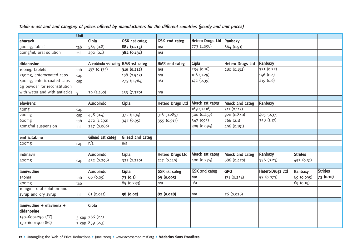#### **Table 1: 1st and 2nd category of prices offered by manufacturers for the different countries (yearly and unit prices)**

|                               | <b>Unit</b> |                                                |                      |                         |                         |                         |                         |                |                |
|-------------------------------|-------------|------------------------------------------------|----------------------|-------------------------|-------------------------|-------------------------|-------------------------|----------------|----------------|
| abacavir                      |             | <b>Cipla</b>                                   | <b>GSK</b> 1st categ | <b>GSK 2nd categ</b>    | <b>Hetero Drugs Ltd</b> | Ranbaxy                 |                         |                |                |
| 300mg, tablet                 | tab         | 584 (0.8)                                      | 887 (1.215)          | n/a                     | 773 (1.058)             | 664 (0.91)              |                         |                |                |
| 20mg/ml, oral solution        | ml          | 292 (0.1)                                      | 382 (0.131)          | n/a                     |                         |                         |                         |                |                |
|                               |             |                                                |                      |                         |                         |                         |                         |                |                |
| didanosine                    |             | Aurobindo 1st categ BMS 1st categ              |                      | <b>BMS 2nd categ</b>    | Cipla                   | <b>Hetero Drugs Ltd</b> | Ranbaxy                 |                |                |
| 100mg, tablets                | tab         | 197 (0.135)                                    | 310 (0.212)          | n/a                     | 234 (0.16)              | 280 (0.192)             | 321(0.22)               |                |                |
| 250mg, enterocoated caps      | cap         |                                                | 198 (0.543)          | n/a                     | 106 (0.29)              |                         | 146 (0.4)               |                |                |
| 400mg, enteric-coated caps    | cap         |                                                | 279 (0.764)          | n/a                     | 142 (0.39)              |                         | 219(0.6)                |                |                |
| 2g powder for reconstitution  |             |                                                |                      |                         |                         |                         |                         |                |                |
| with water and with antiacids | g           | 39 (2.160)                                     | 133 (7.370)          | n/a                     |                         |                         |                         |                |                |
|                               |             |                                                |                      |                         |                         |                         |                         |                |                |
| efavirenz                     |             | Aurobindo                                      | Cipla                | Hetero Drugs Ltd        | Merck 1st categ         | Merck 2nd categ         | Ranbaxy                 |                |                |
| 50mg                          | cap         |                                                |                      |                         | 169(0.116)              | 311 (0.113)             |                         |                |                |
| 200mg                         | cap         | 438(0.4)                                       | 372 (0.34)           | 316 (0.289)             | 500(0.457)              | 920 (0.840)             | 405(0.37)               |                |                |
| 600mg                         | tab         | 472 (1.292)                                    | 347 (0.95)           | 355 (0.917)             | 347 (095)               | 766(2.1)                | 358 (1.17)              |                |                |
| 30mg/ml suspension            | ml          | 227 (0.069)                                    |                      |                         | 309 (0.094)             | 496 (0.151)             |                         |                |                |
|                               |             |                                                |                      |                         |                         |                         |                         |                |                |
| emtricitabine                 |             | Gilead 1st categ                               | Gilead 2nd categ     |                         |                         |                         |                         |                |                |
| 200mg                         | cap         | n/a                                            | n/a                  |                         |                         |                         |                         |                |                |
|                               |             |                                                |                      |                         |                         |                         |                         |                |                |
| indinavir                     |             | <b>Aurobindo</b>                               | Cipla                | <b>Hetero Drugs Ltd</b> | Merck 1st categ         | Merck 2nd categ         | Ranbaxy                 | <b>Strides</b> |                |
| 400mg                         | cap         | 432 (0.296)                                    | 321 (0.220)          | 217 (0.149)             | 400 (0.274)             | 686 (0.470)             | 336(0.23)               | 453 (0.31)     |                |
|                               |             |                                                |                      |                         |                         |                         |                         |                |                |
| lamivudine                    |             | Aurobindo                                      | Cipla                | GSK 1st categ           | GSK 2nd categ           | <b>GPO</b>              | <b>Hetero Drugs Ltd</b> | Ranbaxy        | <b>Strides</b> |
| 150mg                         | tab         | 66 (0.09)                                      | 73(0.1)              | 69 (0.095)              | n/a                     | 171 (0.234)             | 53(0.073)               | 69 (0.095)     | 73 (0.10)      |
| 300mg                         | tab         |                                                | 85 (0.233)           | n/a                     | n/a                     |                         |                         | 69 (0.19)      |                |
| 10mg/ml oral solution and     |             |                                                |                      |                         |                         |                         |                         |                |                |
| syrup and dry syrup           | ml          | 61(0.021)                                      | 58 (0.02)            | 82 (0.028)              | n/a                     | 76 (0.026)              |                         |                |                |
|                               |             |                                                |                      |                         |                         |                         |                         |                |                |
| lamivudine + efavirenz +      |             | Cipla                                          |                      |                         |                         |                         |                         |                |                |
| didanosine                    |             |                                                |                      |                         |                         |                         |                         |                |                |
| 150+600+250 (EC)              |             |                                                |                      |                         |                         |                         |                         |                |                |
| 150+600+400 (EC)              |             | $3 \text{ cap}$ 766 (2.1)<br>3 cap $839 (2.3)$ |                      |                         |                         |                         |                         |                |                |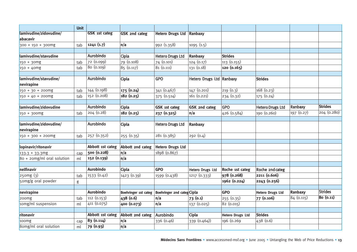|                                      | <b>Unit</b> |                      |                      |                            |                          |                         |                         |                |                |
|--------------------------------------|-------------|----------------------|----------------------|----------------------------|--------------------------|-------------------------|-------------------------|----------------|----------------|
| lamivudine/zidovudine/<br>abacavir   |             | <b>GSK 1st categ</b> | <b>GSK 2nd categ</b> | <b>Hetero Drugs Ltd</b>    | Ranbaxy                  |                         |                         |                |                |
| $300 + 150 + 300$ mg                 | tab         | 1241(1.7)            | n/a                  | 992 (1.358)                | 1095 (1.5)               |                         |                         |                |                |
|                                      |             |                      |                      |                            |                          |                         |                         |                |                |
| lamivudine/stavudine                 |             | Aurobindo            | Cipla                | <b>Hetero Drugs Ltd</b>    | Ranbaxy                  | <b>Strides</b>          |                         |                |                |
| $150 + 30mg$                         | tab         | 72(0.099)            | 79 (0.108)           | 74 (0.101)                 | 124 (0.17)               | 113 (0.155)             |                         |                |                |
| $150 + 40mg$                         | tab         | 80 (0.109)           | 85 (0.117)           | 81(0.111)                  | 131 (0.18)               | 120(0.165)              |                         |                |                |
| lamivudine/stavudine/                |             | Aurobindo            | Cipla                | <b>GPO</b>                 | Hetero Drugs Ltd Ranbaxy |                         | <b>Strides</b>          |                |                |
| nevirapine                           |             |                      |                      |                            |                          |                         |                         |                |                |
| $150 + 30 + 200$ mg                  | tab         | 144 (0.198)          | 175 (0.24)           | 341 (0.467)                | 147 (0.201)              | 219(0.3)                | 168(0.23)               |                |                |
| $150 + 40 + 200$ mg                  | tab         | 152 (0.208)          | 182 (0.25)           | 375 (0.514)                | 161 (0.221)              | 234 (0.32)              | 175 (0.24)              |                |                |
| lamivudine/zidovudine                |             | Aurobindo            | Cipla                | GSK 1st categ              | GSK 2nd categ            | <b>GPO</b>              | <b>Hetero Drugs Ltd</b> | Ranbaxy        | <b>Strides</b> |
| $150 + 300$ mg                       | tab         | 204 (0.28)           | 182 (0.25)           | 237 (0.325)                | n/a                      | 426 (0.584)             | 190 (0.260)             | 197 (0.27)     | 204 (0.280)    |
| lamivudine/zidovudine/<br>nevirapine |             | Aurobindo            | Cipla                | <b>Hetero Drugs Ltd</b>    | Ranbaxy                  |                         |                         |                |                |
| 150 + 300 + 200mg                    | tab         | 257 (0.352)          | 255 (0.35)           | 281 (0.385)                | 292 (0.4)                |                         |                         |                |                |
| lopinavir/ritonavir                  |             | Abbott 1st categ     | Abbott 2nd categ     | <b>Hetero Drugs Ltd</b>    |                          |                         |                         |                |                |
| $133.3 + 33.3$ mg                    | cap         | 500 (0.228)          | n/a                  | 1898 (0.867)               |                          |                         |                         |                |                |
| $80 + 2$ omg/ml oral solution        | ml          | 152 (0.139)          | n/a                  |                            |                          |                         |                         |                |                |
| nelfinavir                           |             | <b>Aurobindo</b>     | <b>Cipla</b>         | <b>GPO</b>                 | Hetero Drugs Ltd         | Roche 1st categ         | Roche 2nd categ         |                |                |
| 250mg(3)                             |             | 1533 (0.42)          | 1423 (0.39)          | 1599 (0.438)               | 1217 (0.333)             | 978 (0.268)             | 2211 (0.606)            |                |                |
| 50mg/g oral powder                   | tab         |                      |                      |                            |                          | 1962 (0.224)            | 2243 (0.256)            |                |                |
|                                      | g           |                      |                      |                            |                          |                         |                         |                |                |
| nevirapine                           |             | <b>Aurobindo</b>     | Boehringer 1st categ | Boehringer 2nd categ Cipla |                          | <b>GPO</b>              | <b>Hetero Drugs Ltd</b> | <b>Ranbaxy</b> | <b>Strides</b> |
| 200mg                                | tab         | 112 (0.153)          | 438 (0.6)            | n/a                        | 73 (0.1)                 | 255 (0.35)              | 77 (0.106)              | 84 (0.115)     | 80(0.11)       |
| 10mg/ml suspension                   | ml          | 411(0.075)           | 400 (0.073)          | n/a                        | 137 (0.025)              | 82 (0.015)              |                         |                |                |
|                                      |             |                      |                      |                            |                          |                         |                         |                |                |
| ritonavir                            |             | Abbott 1st categ     | Abbott 2nd categ     | Aurobindo                  | Cipla                    | <b>Hetero Drugs Ltd</b> | <b>Strides</b>          |                |                |
| 100mg                                | cap         | 83 (0.114)           | n/a                  | 336 (0.46)                 | 339 (0.464))             | 196 (0.269)             | 438 (0.6)               |                |                |
| 8omg/ml oral solution                | ml          | 79 (0.93)            | n/a                  |                            |                          |                         |                         |                |                |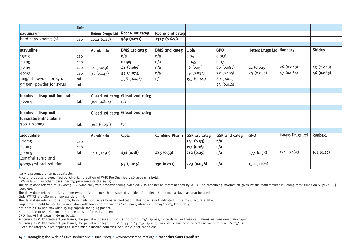|                               | <b>Unit</b> |                         |                                   |                      |               |                      |                          |                  |                |
|-------------------------------|-------------|-------------------------|-----------------------------------|----------------------|---------------|----------------------|--------------------------|------------------|----------------|
| saquinavir                    |             | <b>Hetero Drugs Ltd</b> | Roche 1st categ                   | Roche 2nd categ      |               |                      |                          |                  |                |
| hard caps 200mg (5)           | cap         | 1022 (0.28)             | 989 (0.271)                       | 1327 (0.606)         |               |                      |                          |                  |                |
|                               |             |                         |                                   |                      |               |                      |                          |                  |                |
| stavudine                     |             | Aurobindo               | <b>BMS</b> 1st categ              | <b>BMS 2nd categ</b> | Cipla         | <b>GPO</b>           | Hetero Drugs Ltd Ranbaxy |                  | <b>Strides</b> |
| 15mg                          | cap         |                         | n/a                               | n/a                  | 0.04          | 0.058                |                          |                  |                |
| 20mg                          | cap         |                         | 0.094                             | n/a                  | 0.045         | 0.07                 |                          |                  |                |
| 30mg                          | cap         | 14 (0.019)              | 48 (0.066)                        | n/a                  | 36(0.05)      | 60 (0.082)           | 21(0.029)                | 36 (0.049)       | 35 (0.048)     |
| 40mg                          | cap         | 31 (0.043)              | 55 (0.075)                        | n/a                  | 39 (0.054)    | 77 (0.105)           | 25 (0.035)               | 47(0.064)        | 46 (0.063)     |
| 1mg/ml powder for syrup       | ml          |                         | 358 (0.048)                       | n/a                  | 153 (0.021)   | 80 (0.011)           |                          |                  |                |
| 5mg/ml powder for syrup       | ml          |                         |                                   |                      |               | 23 (0.016)           |                          |                  |                |
|                               |             |                         |                                   |                      |               |                      |                          |                  |                |
| tenofovir disoproxil fumarate |             |                         | Gilead 1st categ Gilead 2nd categ |                      |               |                      |                          |                  |                |
| 300mg                         | tab         | 301 (0.824)             | n/a                               |                      |               |                      |                          |                  |                |
|                               |             |                         |                                   |                      |               |                      |                          |                  |                |
| tenofovir disoproxil          |             |                         | Gilead 1st categ Gilead 2nd categ |                      |               |                      |                          |                  |                |
| fumarate/emtricitabine        |             |                         |                                   |                      |               |                      |                          |                  |                |
| $300 + 200$ mg                | tab         | 362 (0.991)             | n/a                               |                      |               |                      |                          |                  |                |
|                               |             |                         |                                   |                      |               |                      |                          |                  |                |
| zidovudine                    |             | Aurobindo               | Cipla                             | Combino Pharm        | GSK 1st categ | <b>GSK 2nd categ</b> | <b>GPO</b>               | Hetero Drugs Ltd | Ranbaxy        |
| 100 <sub>mg</sub>             | cap         |                         |                                   |                      | 241 (0.33)    | n/a                  |                          |                  |                |
| 250mg                         | cap         |                         |                                   |                      | 117 (0.16)    | n/a                  |                          |                  |                |
| 300mg                         | tab         | 140 (0.192)             | 131 (0.18)                        | 285 (0.39)           | 212(0.29)     | n/a                  | 277 (0.38)               | 134 (0.183)      | 161(0.22)      |
| 10mg/ml syrup and             |             |                         |                                   |                      |               |                      |                          |                  |                |
| 50mg/5ml oral solution        | ml          |                         | 93 (0.015)                        | 130 (0.021)          | 223 (0.036)   | n/a                  | 130 (0.021)              |                  |                |

 $n/a =$  discounted price not available.

Price of products pre-qualified by WHO (23rd edition of WHO Pre-Qualified List) appear in **bold**.

BMS sells ddl in other doses (per mg price remains the same).

The daily dose referred to is 800mg IDV twice daily with ritonavir 100mg twice daily as booster as recommended by WHO. The prescribing information given by the manufacturer is 800mg three times daily (price US\$ 600/year).

The daily dose referred to is 1250 mg twice daily although the dosage of 9 tablets (3 tablets three times a day) can also be used.

Cipla PMTCT a 0.080 ml en envase de 25 ml.

The daily dose referred to is 100mg twice daily, for use as booster medication. This dose is not indicated in the manufacturer's label.

Saquinqvir should be used in combination with low-dose ritonavir as Saquinavir/Ritonavir 1000mg/100mg twice daily.

Not possible to use stavudine 15 mg capsule for 15 kg patient.

Not possible to use zidovudine 100 mg capsule for 15 kg patient.

GPO, has AZT at 0.021 in 60 ml bottle.

According to WHO treatment guidelines, the pediatric dosage of NVP is 120 to 200 mg/m2/dose, twice daily. For these calcilations we considered 160mg/m2.

According to WHO treatment guidelines, the pediatric dosage of NfV is 55 to 65 mg/m2/dose, twice daily. For these calcilations we considered 60mg/m2.

Gilead 1st category price applies to some middle-income countries. See Table 2 for conditions.

**14 •** Untangling the Web of Price Reductions **•** June 2005 **•** www.accessmed-msf.org **• Médecins Sans Frontières**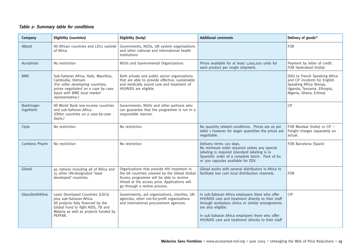#### **Table 2: Summary table for conditions**

| Company                  | <b>Eligibility (countries)</b>                                                                                                                                                              | <b>Eligibility (body)</b>                                                                                                                                                                                                 | <b>Additional comments</b>                                                                                                                                                                                                                                                                  | Delivery of goods <sup>[6]</sup>                                                                                                                    |
|--------------------------|---------------------------------------------------------------------------------------------------------------------------------------------------------------------------------------------|---------------------------------------------------------------------------------------------------------------------------------------------------------------------------------------------------------------------------|---------------------------------------------------------------------------------------------------------------------------------------------------------------------------------------------------------------------------------------------------------------------------------------------|-----------------------------------------------------------------------------------------------------------------------------------------------------|
| Abbott                   | All African countries and LDCs outside<br>of Africa                                                                                                                                         | Governments, NGOs, UN system organizations<br>and other national and international health<br>institutions                                                                                                                 |                                                                                                                                                                                                                                                                                             | <b>FOB</b>                                                                                                                                          |
| Aurobindo                | No restriction                                                                                                                                                                              | NGOs and Governmental Organizations                                                                                                                                                                                       | Prices available for at least 1,000,000 units for<br>each product per single shipment.                                                                                                                                                                                                      | Payment by letter of credit.<br>FOB Hyderabad (India)                                                                                               |
| <b>BMS</b>               | Sub-Saharan Africa, Haiti, Mauritius,<br>Cambodia, Vietnam<br>(For other developing countries,<br>prices negotiated on a case by case<br>basis with BMS local market<br>representative.)    | Both private and public sector organizations<br>that are able to provide effective, sustainable<br>and medically sound care and treatment of<br>HIV/AIDS are eligible.                                                    |                                                                                                                                                                                                                                                                                             | DDU to French Speaking Africa<br>and CIF incoterm for English<br>Speaking Africa (Kenya,<br>Uganda, Tanzania, Ethiopia,<br>Nigeria, Ghana, Eritrea) |
| Boehringer-<br>Ingelheim | All World Bank low-income countries<br>and sub-Saharan Africa.<br>(Other countries on a case-by-case<br>basis.)                                                                             | Governments, NGOs and other partners who<br>can guarantee that the programme is run in a<br>responsible manner.                                                                                                           |                                                                                                                                                                                                                                                                                             | CIF                                                                                                                                                 |
| Cipla                    | No restriction                                                                                                                                                                              | No restriction                                                                                                                                                                                                            | No quantity related conditions. Prices are as per<br>table 1 however for larger quantities the prices are<br>negotiable.                                                                                                                                                                    | FOB Mumbai (India) or CIF -<br>Freight charges separately on<br>actual.                                                                             |
| Combino Pharm            | No restriction                                                                                                                                                                              | No restriction                                                                                                                                                                                                            | Delivery terms 120 days.<br>No minimum order required unless any special<br>labeling is required (standard labeling is in<br>Spanish): order of a complete batch. Pack of 60<br>or 300 capsules available for ZDV.                                                                          | FOB Barcelona (Spain)                                                                                                                               |
| Gilead                   | 95 nations including all of Africa and<br>15 other UN-designated 'least<br>developed' countries.                                                                                            | Organizations that provide HIV treatment in<br>the 68 countries covered by the Gilead Global<br>Access programme will be able to receive<br>Viread at the access price. Applications will<br>go through a review process. | Gilead works with several distributors in Africa to<br>facilitate low cost local distribution channels.                                                                                                                                                                                     | FOB                                                                                                                                                 |
| GlaxoSmithKline          | Least Developed Countries (LDCs)<br>plus sub-Saharan Africa.<br>All projects fully financed by the<br>Global Fund to fight AIDS, TB and<br>Malaria as well as projects funded by<br>PEPFAR. | Governments, aid organizations, charities, UN<br>agencies, other not-for-profit organizations<br>and international procurement agencies.                                                                                  | In sub-Saharan Africa employers there who offer<br>HIV/AIDS care and treatment directly to their staff<br>through workplace clinics or similar arrangements<br>are also eligible.<br>In sub-Saharan Africa employers there who offer<br>HIV/AIDS care and treatment directly to their staff | <b>CIP</b>                                                                                                                                          |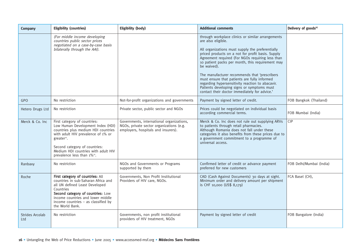| Company                | <b>Eligibility (countries)</b>                                                                                                                                                                                                                                                               | <b>Eligibility (body)</b>                                                                                                    | <b>Additional comments</b>                                                                                                                                                                                                                                                                                                                                                                                                                                                                                                                                  | Delivery of goods[6]     |
|------------------------|----------------------------------------------------------------------------------------------------------------------------------------------------------------------------------------------------------------------------------------------------------------------------------------------|------------------------------------------------------------------------------------------------------------------------------|-------------------------------------------------------------------------------------------------------------------------------------------------------------------------------------------------------------------------------------------------------------------------------------------------------------------------------------------------------------------------------------------------------------------------------------------------------------------------------------------------------------------------------------------------------------|--------------------------|
|                        | (For middle income developing<br>countries public sector prices<br>negotiated on a case-by-case basis<br>bilaterally through the AAI).                                                                                                                                                       |                                                                                                                              | through workplace clinics or similar arrangements<br>are also eligible.<br>All organizations must supply the preferentially<br>priced products on a not for profit basis. Supply<br>Agreement required (For NGOs requiring less than<br>10 patient packs per month, this requirement may<br>be waived).<br>The manufacturer recommends that 'prescribers<br>must ensure that patients are fully informed<br>regarding hypersensitivity reaction to abacavir.<br>Patients developing signs or symptoms must<br>contact their doctor immediately for advice.' |                          |
| <b>GPO</b>             | No restriction                                                                                                                                                                                                                                                                               | Not-for-profit organizations and governments                                                                                 | Payment by signed letter of credit.                                                                                                                                                                                                                                                                                                                                                                                                                                                                                                                         | FOB Bangkok (Thailand)   |
| Hetero Drugs Ltd       | No restriction                                                                                                                                                                                                                                                                               | Private sector, public sector and NGOs                                                                                       | Prices could be negotiated on individual basis<br>according commercial terms.                                                                                                                                                                                                                                                                                                                                                                                                                                                                               | FOB Mumbai (India)       |
| Merck & Co. Inc        | First category of countries:<br>Low Human Development Index (HDI)<br>countries plus medium HDI countries<br>with adult HIV prevalence of 1% or<br>greater <sup>10</sup> .<br>Second category of countries:<br>Medium HDI countries with adult HIV<br>prevalence less than 1% <sup>10</sup> . | Governments, international organizations,<br>NGOs, private sector organizations (e.g.<br>employers, hospitals and insurers). | Merck & Co. Inc does not rule out supplying ARVs<br>to patients through retail pharmacies.<br>Although Romania does not fall under these<br>categories it also benefits from these prices due to<br>a government commitment to a programme of<br>universal access.                                                                                                                                                                                                                                                                                          | C P                      |
| Ranbaxy                | No restriction                                                                                                                                                                                                                                                                               | NGOs and Governments or Programs<br>supported by them                                                                        | Confirmed letter of credit or advance payment<br>preferred for new customers                                                                                                                                                                                                                                                                                                                                                                                                                                                                                | FOB Delhi/Mumbai (India) |
| Roche                  | First category of countries: All<br>countries in sub-Saharan Africa and<br>all UN defined Least Developed<br>Countries<br>Second category of countries: Low<br>income countries and lower middle<br>income countries $-$ as classified by<br>the World Bank.                                 | Governments, Non Profit Institutional<br>Providers of HIV care, NGOs.                                                        | CAD (Cash Against Documents) 30 days at sight.<br>Minimum order and delivery amount per shipment<br>is CHF 10,000 (US\$ 8,179)                                                                                                                                                                                                                                                                                                                                                                                                                              | FCA Basel (CH),          |
| Strides Arcolab<br>Ltd | No restriction                                                                                                                                                                                                                                                                               | Governments, non profit institutional<br>providers of HIV treatment, NGOs                                                    | Payment by signed letter of credit                                                                                                                                                                                                                                                                                                                                                                                                                                                                                                                          | FOB Bangalore (India)    |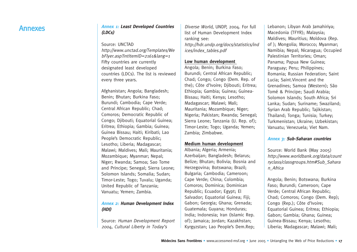## Annexes **Annex 1: Least Developed Countries (LDCs)**

Source: UNCTAD http://www.unctad.org/Templates/We bFlyer.asp?intItemID=2161&lang=1 Fifty countries are currently designated least developed countries (LDCs). The list is reviewed every three years.

Afghanistan; Angola; Bangladesh; Benin; Bhutan; Burkina Faso; Burundi; Cambodia; Cape Verde; Central African Republic; Chad; Comoros; Democratic Republic of Congo; Djibouti; Equatorial Guinea; Eritrea; Ethiopia; Gambia; Guinea; Guinea Bissau; Haiti; Kiribati; Lao People's Democratic Republic; Lesotho; Liberia; Madagascar; Malawi; Maldives; Mali; Mauritania; Mozambique; Myanmar; Nepal; Niger; Rwanda; Samoa; Sao Tome and Principe; Senegal; Sierra Leone; Solomon Islands; Somalia; Sudan; Timor-Leste; Togo; Tuvalu; Uganda; United Republic of Tanzania; Vanuatu; Yemen; Zambia.

#### **Annex 2: Human Development Index (HDI)**

Source: Human Development Report 2004, Cultural Liberty in Today's

Diverse World, UNDP, 2004. For full list of Human Development Index ranking see: http://hdr.undp.org/docs/statistics/ind ices/index\_tables.pdf

#### **Low human development**

Angola; Benin; Burkina Faso; Burundi; Central African Republic; Chad; Congo; Congo (Dem. Rep. of the); Côte d'Ivoire; Djibouti; Eritrea; Ethiopia; Gambia; Guinea; Guinea-Bissau; Haiti; Kenya; Lesotho; Madagascar; Malawi; Mali; Mauritania; Mozambique; Niger; Nigeria; Pakistan; Rwanda; Senegal; Sierra Leone; Tanzania (U. Rep. of); Timor-Leste; Togo; Uganda; Yemen; Zambia; Zimbabwe.

#### **Medium human development**

Albania; Algeria; Armenia; Azerbaijan; Bangladesh; Belarus; Belize; Bhutan; Bolivia; Bosnia and Herzegovina; Botswana; Brazil; Bulgaria; Cambodia; Cameroon; Cape Verde; China; Colombia; Comoros; Dominica; Dominican Republic; Ecuador; Egypt; El Salvador; Equatorial Guinea; Fiji; Gabon; Georgia; Ghana; Grenada; Guatemala; Guyana; Honduras; India; Indonesia; Iran (Islamic Rep. of); Jamaica; Jordan; Kazakhstan; Kyrgyzstan; Lao People's Dem.Rep;

Lebanon; Libyan Arab Jamahiriya; Macedonia (TFYR); Malaysia; Maldives; Mauritius; Moldova (Rep. of ); Mongolia; Morocco; Myanmar; Namibia; Nepal; Nicaragua; Occupied Palestinian Territories; Oman; Panama; Papua New Guinea; Paraguay; Peru; Philippines; Romania; Russian Federation; Saint Lucia; Saint.Vincent and the Grenadines; Samoa (Western); São Tomé & Principe; Saudi Arabia; Solomon Islands; South Africa; Sri Lanka; Sudan; Suriname; Swaziland; Syrian Arab Republic; Tajikistan; Thailand; Tonga; Tunisia; Turkey; Turkmenistan; Ukraine; Uzbekistan; Vanuatu; Venezuela; Viet Nam.

#### **Annex 3: Sub-Saharan countries**

Source: World Bank (May 2005) http://www.worldbank.org/data/count ryclass/classgroups.htm#Sub\_Sahara n\_Africa

Angola; Benin; Botswana; Burkina Faso; Burundi; Cameroon; Cape Verde; Central African Republic; Chad; Comoros; Congo (Dem. Rep); Congo (Rep.); Côte d'Ivoire; Equatorial Guinea; Eritrea; Ethiopia; Gabon; Gambia; Ghana; Guinea; Guinea-Bissau; Kenya; Lesotho; Liberia; Madagascar; Malawi; Mali;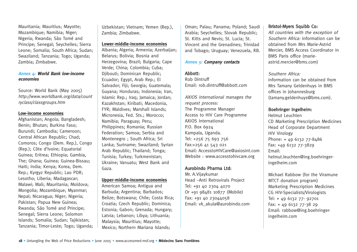Mauritania; Mauritius; Mayotte; Mozambique; Namibia; Niger; Nigeria; Rwanda; São Tomé and Principe; Senegal; Seychelles; Sierra Leone; Somalia; South Africa; Sudan; Swaziland; Tanzania; Togo; Uganda; Zambia; Zimbabwe.

#### **Annex 4: World Bank low-income economies**

Source: World Bank (May 2005) http://www.worldbank.org/data/count ryclass/classgroups.htm

#### **Low-income economies**

Afghanistan; Angola; Bangladesh; Benin; Bhutan; Burkina Faso; Burundi; Cambodia; Cameroon; Central African Republic; Chad; Comoros; Congo (Dem. Rep.), Congo (Rep.); Côte d'Ivoire; Equatorial Guinea; Eritrea; Ethiopia; Gambia, The; Ghana; Guinea; Guinea-Bissau; Haiti; India; Kenya; Korea, Dem. Rep.; Kyrgyz Republic; Lao PDR; Lesotho; Liberia; Madagascar; Malawi; Mali; Mauritania; Moldova; Mongolia; Mozambique; Myanmar; Nepal; Nicaragua; Niger; Nigeria; Pakistan; Papua New Guinea; Rwanda; São Tomé and Principe; Senegal; Sierra Leone; Solomon Islands; Somalia; Sudan; Tajikistan; Tanzania; Timor-Leste; Togo; Uganda; Uzbekistan; Vietnam; Yemen (Rep.), Zambia; Zimbabwe.

#### **Lower-middle-income economies**

Albania; Algeria; Armenia; Azerbaijan; Belarus; Bolivia; Bosnia and Herzegovina; Brazil; Bulgaria; Cape Verde; China; Colombia; Cuba; Djibouti; Dominican Republic; Ecuador; Egypt, Arab Rep.; El Salvador: Fiii: Georgia: Guatemala: Guyana; Honduras; Indonesia; Iran, Islamic Rep.; Iraq; Jamaica; Jordan; Kazakhstan; Kiribati; Macedonia, FYR; Maldives; Marshall Islands; Micronesia, Fed. Sts.; Morocco; Namibia; Paraguay; Peru; Philippines; Romania; Russian Federation; Samoa; Serbia and Montenegro ; South Africa; Sri Lanka; Suriname; Swaziland; Syrian Arab Republic; Thailand; Tonga; Tunisia; Turkey; Turkmenistan; Ukraine; Vanuatu; West Bank and Gaza.

#### **Upper-middle-income economies**

American Samoa; Antigua and Barbuda; Argentina; Barbados; Belize; Botswana; Chile; Costa Rica; Croatia; Czech Republic; Dominica; Estonia; Gabon; Grenada; Hungary; Latvia; Lebanon; Libya; Lithuania; Malaysia; Mauritius; Mayotte; Mexico; Northern Mariana Islands;

Oman; Palau; Panama; Poland; Saudi Arabia; Seychelles; Slovak Republic; St. Kitts and Nevis; St. Lucia; St. Vincent and the Grenadines; Trinidad and Tobago; Uruguay; Venezuela, RB.

#### **Annex 5: Company contacts**

#### Abbott:

Rob Dintruff Email: rob.dintruff@abbott.com

AXIOS International manages the request process: The Programme Manager Access to HIV Care Programme AXIOS International P.O. Box 6924 Kampala, Uganda. Tel: +256 75 693 756 Fax:+256 41 543 021 Email: AccesstoHIVCare@axiosint.com Website : www.accesstohivcare.org

#### Aurobindo Pharma Ltd:

Mr. A.Vijaykumar Head –Anti Retrovirals Project Tel: +91 40 2304 4070 Or +91 98481 10877 (Mobile) Fax: +91 40 23044058 Email: vk\_akula@aurobindo.com

#### Bristol-Myers Squibb Co:

All countries with the exception of Southern Africa: information can be obtained from Mrs Marie-Astrid Mercier, BMS Access Coordinator in BMS Paris office (marieastrid.mercier@bms.com)

#### Southern Africa:

information can be obtained from Mrs Tamany Geldenhuys in BMS offices in Johannesburg (tamany.geldenhuys@bms.com).

#### Boehringer Ingelheim:

Helmut Leuchten CD Marketing Prescription Medicines Head of Corporate Department HIV Virology Phone: + 49 6132 77-8486 Fax: +49 6132 77-3829 Email: helmut.leuchten@ing.boehringeringelheim.com

Michael Rabbow (for the Viramune MTCT donation program) Marketing Prescription Medicines CG HIV-Specialists/Virologists Tel: + 49 6132 77- 92701 Fax: + 49 6132 77-38 29 Email: rabbow@ing.boehringeringelheim.com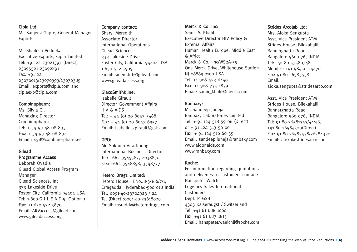#### Cipla Ltd:

Mr. Sanjeev Gupte, General Manager-Exports

Mr. Shailesh Pednekar Executive-Exports, Cipla Limited Tel: +91 22 23021397 (Direct) 23095521 23092891 Fax: +91 22 23070013/23070393/23070385 Email: exports@cipla.com and ciplaexp@cipla.com

#### Combinopharm:

Ms. Silvia Gil Managing Director Combinopharm Tel: + 34 93 48 08 833 Fax: + 34 93 48 08 832 Email : sgil@combino-pharm.es

#### Gilead

#### Programme Access

Deborah Ovadia Gilead Global Access Program Manager Gilead Sciences, Inc 333 Lakeside Drive Foster City, California 94404 USA Tel: 1-800-G I L E A D-5, Option 1 Fax: +1-650-522-5870 Email: ARVaccess@gilead.com www.gileadaccess.org

#### Company contact:

Sheryl Meredith Associate Director International Operations Gilead Sciences 333 Lakeside Drive Foster City, California 94404 USA 1-650-522-5505 Email: smeredith@gilead.com www.gileadaccess.org

#### GlaxoSmithKline:

Isabelle Girault Director, Government Affairs HIV & AIDS Tel: + 44 (0) 20 8047 5488 Fax: + 44 (0) 20 8047 6957 Email: isabelle.s.girault@gsk.com

#### GPO:

Mr. Sukhum Virattipong International Business Director Tel: +662 3545587, 2038850 Fax: +662 3548858, 3548777

#### Hetero Drugs Limited:

Hetero House, H.No.:8-3-166/7/1, Erragadda, Hyderabad-500 018 India. Tel: 0091-40-23704923 / 24 Tel (Direct):0091-40-23818029 Email: msreddy@heterodrugs.com

#### Merck & Co. Inc: Samir A. Khalil Executive Director HIV Policy & External Affairs Human Health Europe, Middle East & Africa Merck & Co., Inc/WS2A-55 One Merck Drive, Whitehouse Station NJ 08889-0100 USA Tel: +1 908 423 6440 Fax: +1 908 735 1839 Email: samir\_khalil@merck.com

#### Ranbaxy:

Mr. Sandeep Juneja Ranbaxy Laboratories Limited Tel: + 91 124 518 59 06 (Direct) or + 91 124 513 50 00 Fax: + 91 124 516 60 35 Email: sandeep.juneja@ranbaxy.com www.aidonaids.com www.ranbaxy.com

#### Roche:

For information regarding quotations and deliveries to customers contact: Hanspeter Wälchli Logistics Sales International Customers Dept. PTGS-I 4303 Kaiseraugst / Switzerland Tel: +41 61 688 1060 Fax: +41 61 687 1815 Email: hanspeter.waelchli@roche.com

#### Strides Arcolab Ltd:

Mrs. Aloka Sengupta Asst. Vice President ATM Strides House, Bilekahalli Bannerghatta Road Bangalore 560 076, INDIA Tel: +91-80-57580748 Mobile : +91 98450 24470 Fax: 91-80-26583538 Email: aloka.sengupta@stridesarco.com

Asst. Vice President ATM Strides House, Bilekahalli Bannerghatta Road Bangalore 560 076, INDIA Tel: 91-80-26581343/44/46, +91-80-26584529(Direct) Fax: 91-80-26583538/26584330 Email: aloka@stridesarco.com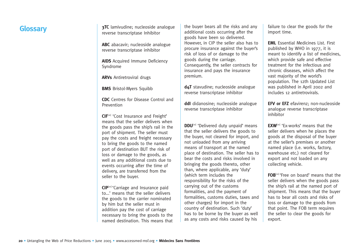reverse transcriptase Inhibitor

**ABC** abacavir; nucleoside analogue reverse transcriptase inhibitor

**AIDS** Acquired Immune Deficiency Syndrome

**ARVs** Antiretroviral drugs

**BMS** Bristol-Myers Squibb

**CDC** Centres for Disease Control and Prevention

**CIF**<sup>[10]</sup> 'Cost Insurance and Freight' means that the seller delivers when the goods pass the ship's rail in the port of shipment. The seller must pay the costs and freight necessary to bring the goods to the named port of destination BUT the risk of loss or damage to the goods, as well as any additional costs due to events occurring after the time of delivery, are transferred from the seller to the buyer.

**CIP**[10] 'Carriage and Insurance paid to...' means that the seller delivers the goods to the carrier nominated by him but the seller must in addition pay the cost of carriage necessary to bring the goods to the named destination. This means that

**Glossary 19TC** lamivudine; nucleoside analogue the buyer bears all the risks and any failure to clear the goods for the import time. the buyer bears all the risks and any additional costs occurring after the goods have been so delivered. However, in CIP the seller also has to procure insurance against the buyer's risk of loss of or damage to the goods during the carriage. Consequently, the seller contracts for insurance and pays the insurance premium.

> **d4T** stavudine; nucleoside analogue reverse transcriptase inhibitor

**ddI** didanosine; nucleoside analogue reverse transcriptase inhibitor

**DDU**<sup>[10]</sup> 'Delivered duty unpaid' means that the seller delivers the goods to the buyer, not cleared for import, and not unloaded from any arriving means of transport at the named place of destination. The seller has to bear the costs and risks involved in bringing the goods thereto, other than, where applicable, any 'duty' (which term includes the responsibility for the risks of the carrying out of the customs formalities, and the payment of formalities, customs duties, taxes and other charges) for import in the country of destination. Such 'duty' has to be borne by the buyer as well as any costs and risks caused by his

**EML** Essential Medicines List. First published by WHO in 1977, it is meant to identify a list of medicines, which provide safe and effective treatment for the infectious and chronic diseases, which affect the vast majority of the world's population. The 12th Updated List was published in April 2002 and includes 12 antiretrovirals.

**EFV or EFZ** efavirenz; non-nucleoside analogue reverse transcriptase inhibitor

**EXW**<sup>[10]</sup> 'Ex-works' means that the seller delivers when he places the goods at the disposal of the buyer at the seller's premises or another named place (i.e. works, factory, warehouse etc.) not cleared for export and not loaded on any collecting vehicle.

**FOB**[10] 'Free on board' means that the seller delivers when the goods pass the ship's rail at the named port of shipment. This means that the buyer has to bear all costs and risks of loss or damage to the goods from that point. The FOB term requires the seller to clear the goods for export.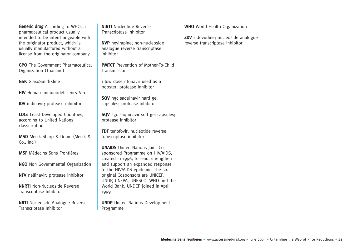Generic drug According to WHO, a pharmaceutical product usually intended to be interchangeable with the originator product, which is usually manufactured without a license from the originator company.

**GPO** The Government Pharmaceutical Organization (Thailand)

**GSK** GlaxoSmithKline

**HIV** Human Immunodeficiency Virus

**IDV** indinavir; protease inhibitor

**LDCs** Least Developed Countries, according to United Nations classification

**MSD** Merck Sharp & Dome (Merck & Co., Inc.)

**MSF** Médecins Sans Frontières

**NGO** Non Governmental Organization

**NFV** nelfinavir; protease inhibitor

**NNRTI** Non-Nucleoside Reverse Transcriptase Inhibitor

**NRTI** Nucleoside Analogue Reverse Transcriptase Inhibitor

**NtRTI** Nucleotide Reverse Transcriptase Inhibitor

**NVP** nevirapine; non-nucleoside analogue reverse transcriptase inhibitor

**PMTCT** Prevention of Mother-To-Child Transmission

**<sup>r</sup>**low dose ritonavir used as a booster; protease inhibitor

**SQV** hgc saquinavir hard gel capsules; protease inhibitor

**SQV** sgc saquinavir soft gel capsules; protease inhibitor

**TDF** tenofovir: nucleotide reverse transcriptase inhibitor

**UNAIDS** United Nations Joint Cosponsored Programme on HIV/AIDS, created in 1996, to lead, strengthen and support an expanded response to the HIV/AIDS epidemic. The six original Cosponsors are UNICEF, UNDP, UNFPA, UNESCO, WHO and the World Bank. UNDCP joined in April 1999

**UNDP** United Nations Development Programme

**WHO** World Health Organization

**ZDV** zidovudine; nucleoside analogue reverse transcriptase inhibitor